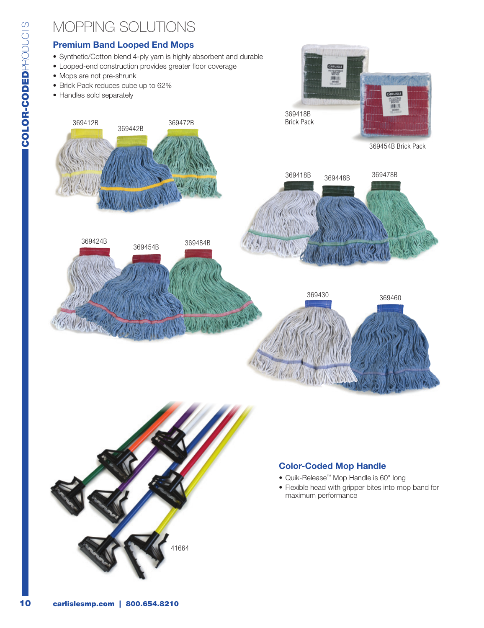## mopping solutions Premium Band Looped End Mops • Mops are not pre-shrunk • Brick Pack reduces cube up to 62% • Handles sold separately 369412B 369472B 369442B



• Looped-end construction provides greater floor coverage





## Color-Coded Mop Handle

- • Quik‑Release™ Mop Handle is 60" long
- Flexible head with gripper bites into mop band for maximum performance